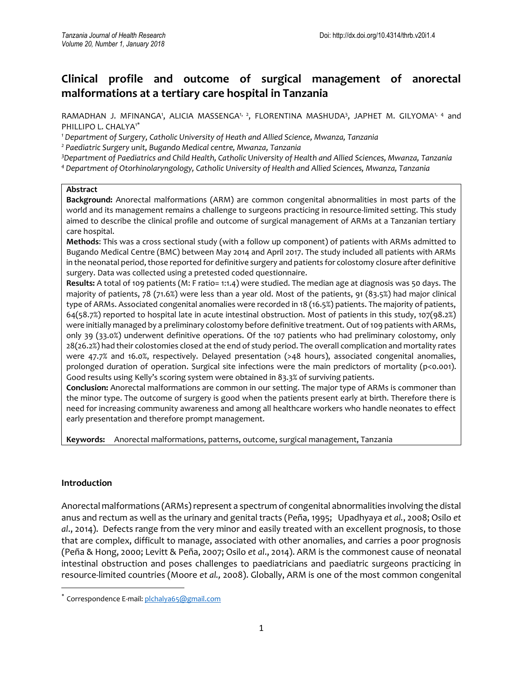# **Clinical profile and outcome of surgical management of anorectal malformations at a tertiary care hospital in Tanzania**

RAMADHAN J. MFINANGA', ALICIA MASSENGA'<sup>, 2</sup>, FLORENTINA MASHUDA<sup>3</sup>, JAPHET M. GILYOMA<sup>1, 4</sup> and PHILLIPO L. CHALYA<sup>1\*</sup>

*<sup>1</sup> Department of Surgery, Catholic University of Heath and Allied Science, Mwanza, Tanzania*

*<sup>2</sup> Paediatric Surgery unit, Bugando Medical centre, Mwanza, Tanzania*

*<sup>3</sup>Department of Paediatrics and Child Health, Catholic University of Health and Allied Sciences, Mwanza, Tanzania <sup>4</sup> Department of Otorhinolaryngology, Catholic University of Health and Allied Sciences, Mwanza, Tanzania*

#### **Abstract**

**Background:** Anorectal malformations (ARM) are common congenital abnormalities in most parts of the world and its management remains a challenge to surgeons practicing in resource-limited setting. This study aimed to describe the clinical profile and outcome of surgical management of ARMs at a Tanzanian tertiary care hospital.

**Methods**: This was a cross sectional study (with a follow up component) of patients with ARMs admitted to Bugando Medical Centre (BMC) between May 2014 and April 2017. The study included all patients with ARMs in the neonatal period, those reported for definitive surgery and patients for colostomy closure after definitive surgery. Data was collected using a pretested coded questionnaire.

**Results:** A total of 109 patients (M: F ratio= 1:1.4) were studied. The median age at diagnosis was 50 days. The majority of patients, 78 (71.6%) were less than a year old. Most of the patients, 91 (83.5%) had major clinical type of ARMs. Associated congenital anomalies were recorded in 18 (16.5%) patients. The majority of patients, 64(58.7%) reported to hospital late in acute intestinal obstruction. Most of patients in this study, 107(98.2%) were initially managed by a preliminary colostomy before definitive treatment. Out of 109 patients with ARMs, only 39 (33.0%) underwent definitive operations. Of the 107 patients who had preliminary colostomy, only 28(26.2%) had their colostomies closed at the end of study period. The overall complication and mortality rates were 47.7% and 16.0%, respectively. Delayed presentation (>48 hours), associated congenital anomalies, prolonged duration of operation. Surgical site infections were the main predictors of mortality (p<0.001). Good results using Kelly's scoring system were obtained in 83.3% of surviving patients.

**Conclusion:** Anorectal malformations are common in our setting. The major type of ARMs is commoner than the minor type. The outcome of surgery is good when the patients present early at birth. Therefore there is need for increasing community awareness and among all healthcare workers who handle neonates to effect early presentation and therefore prompt management.

**Keywords:** Anorectal malformations, patterns, outcome, surgical management, Tanzania

### **Introduction**

 $\overline{\phantom{a}}$ 

Anorectal malformations (ARMs) represent a spectrum of congenital abnormalities involving the distal anus and rectum as well as the urinary and genital tracts (Peña, 1995; Upadhyaya *et al.*, 2008; Osilo *et al*., 2014). Defects range from the very minor and easily treated with an excellent prognosis, to those that are complex, difficult to manage, associated with other anomalies, and carries a poor prognosis (Peña & Hong, 2000; Levitt & Peña, 2007; Osilo *et al*., 2014). ARM is the commonest cause of neonatal intestinal obstruction and poses challenges to paediatricians and paediatric surgeons practicing in resource-limited countries (Moore *et al.,* 2008). Globally, ARM is one of the most common congenital

<sup>\*</sup> Correspondence E-mail[: plchalya65@gmail.com](mailto:plchalya65@gmail.com)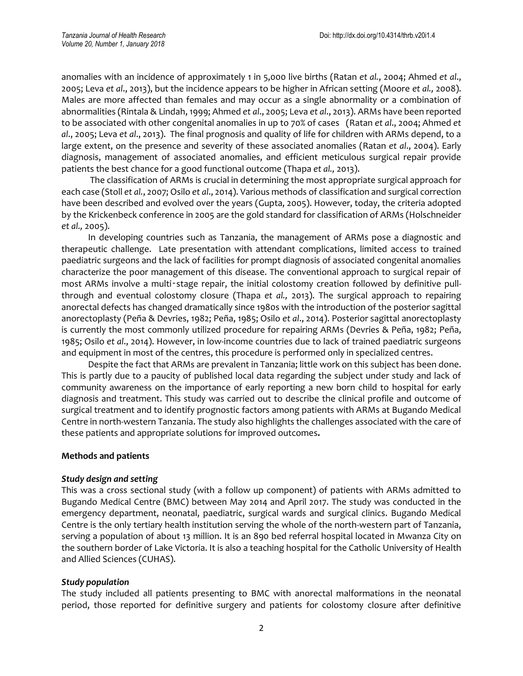anomalies with an incidence of approximately 1 in 5,000 live births (Ratan *et al.*, 2004; Ahmed *et al*., 2005; Leva *et al*., 2013), but the incidence appears to be higher in African setting (Moore *et al.,* 2008). Males are more affected than females and may occur as a single abnormality or a combination of abnormalities (Rintala & Lindah, 1999; Ahmed *et al*., 2005; Leva *et al*., 2013). ARMs have been reported to be associated with other congenital anomalies in up to 70% of cases (Ratan *et al*., 2004; Ahmed *et al*., 2005; Leva *et al*., 2013). The final prognosis and quality of life for children with ARMs depend, to a large extent, on the presence and severity of these associated anomalies (Ratan *et al*., 2004). Early diagnosis, management of associated anomalies, and efficient meticulous surgical repair provide patients the best chance for a good functional outcome (Thapa *et al.,* 2013).

 The classification of ARMs is crucial in determining the most appropriate surgical approach for each case (Stoll *et al.*, 2007; Osilo *et al*., 2014). Various methods of classification and surgical correction have been described and evolved over the years (Gupta, 2005). However, today, the criteria adopted by the Krickenbeck conference in 2005 are the gold standard for classification of ARMs (Holschneider *et al.,* 2005).

 In developing countries such as Tanzania, the management of ARMs pose a diagnostic and therapeutic challenge. Late presentation with attendant complications, limited access to trained paediatric surgeons and the lack of facilities for prompt diagnosis of associated congenital anomalies characterize the poor management of this disease. The conventional approach to surgical repair of most ARMs involve a multi-stage repair, the initial colostomy creation followed by definitive pullthrough and eventual colostomy closure (Thapa *et al.,* 2013). The surgical approach to repairing anorectal defects has changed dramatically since 1980s with the introduction of the posterior sagittal anorectoplasty (Peña & Devries, 1982; Peña, 1985; Osilo *et al*., 2014). Posterior sagittal anorectoplasty is currently the most commonly utilized procedure for repairing ARMs (Devries & Peña, 1982; Peña, 1985; Osilo *et al*., 2014). However, in low-income countries due to lack of trained paediatric surgeons and equipment in most of the centres, this procedure is performed only in specialized centres.

 Despite the fact that ARMs are prevalent in Tanzania; little work on this subject has been done. This is partly due to a paucity of published local data regarding the subject under study and lack of community awareness on the importance of early reporting a new born child to hospital for early diagnosis and treatment. This study was carried out to describe the clinical profile and outcome of surgical treatment and to identify prognostic factors among patients with ARMs at Bugando Medical Centre in north-western Tanzania. The study also highlights the challenges associated with the care of these patients and appropriate solutions for improved outcomes**.**

### **Methods and patients**

### *Study design and setting*

This was a cross sectional study (with a follow up component) of patients with ARMs admitted to Bugando Medical Centre (BMC) between May 2014 and April 2017. The study was conducted in the emergency department, neonatal, paediatric, surgical wards and surgical clinics. Bugando Medical Centre is the only tertiary health institution serving the whole of the north-western part of Tanzania, serving a population of about 13 million. It is an 890 bed referral hospital located in Mwanza City on the southern border of Lake Victoria. It is also a teaching hospital for the Catholic University of Health and Allied Sciences (CUHAS).

### *Study population*

The study included all patients presenting to BMC with anorectal malformations in the neonatal period, those reported for definitive surgery and patients for colostomy closure after definitive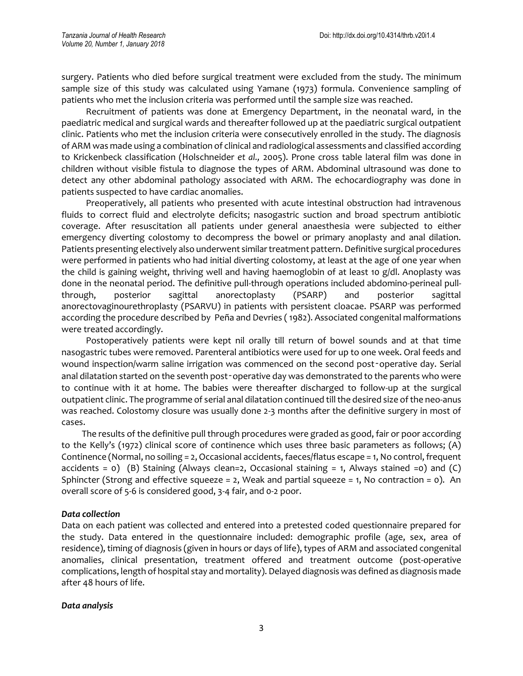surgery. Patients who died before surgical treatment were excluded from the study. The minimum sample size of this study was calculated using Yamane (1973) formula. Convenience sampling of patients who met the inclusion criteria was performed until the sample size was reached.

 Recruitment of patients was done at Emergency Department, in the neonatal ward, in the paediatric medical and surgical wards and thereafter followed up at the paediatric surgical outpatient clinic. Patients who met the inclusion criteria were consecutively enrolled in the study. The diagnosis of ARM was made using a combination of clinical and radiological assessments and classified according to Krickenbeck classification (Holschneider *et al.,* 2005). Prone cross table lateral film was done in children without visible fistula to diagnose the types of ARM. Abdominal ultrasound was done to detect any other abdominal pathology associated with ARM. The echocardiography was done in patients suspected to have cardiac anomalies.

 Preoperatively, all patients who presented with acute intestinal obstruction had intravenous fluids to correct fluid and electrolyte deficits; nasogastric suction and broad spectrum antibiotic coverage. After resuscitation all patients under general anaesthesia were subjected to either emergency diverting colostomy to decompress the bowel or primary anoplasty and anal dilation. Patients presenting electively also underwent similar treatment pattern. Definitive surgical procedures were performed in patients who had initial diverting colostomy, at least at the age of one year when the child is gaining weight, thriving well and having haemoglobin of at least 10 g/dl. Anoplasty was done in the neonatal period. The definitive pull-through operations included abdomino-perineal pullthrough, posterior sagittal anorectoplasty (PSARP) and posterior sagittal anorectovaginourethroplasty (PSARVU) in patients with persistent cloacae. PSARP was performed according the procedure described by Peña and Devries ( 1982). Associated congenital malformations were treated accordingly.

 Postoperatively patients were kept nil orally till return of bowel sounds and at that time nasogastric tubes were removed. Parenteral antibiotics were used for up to one week. Oral feeds and wound inspection/warm saline irrigation was commenced on the second post-operative day. Serial anal dilatation started on the seventh post-operative day was demonstrated to the parents who were to continue with it at home. The babies were thereafter discharged to follow-up at the surgical outpatient clinic. The programme of serial anal dilatation continued till the desired size of the neo-anus was reached. Colostomy closure was usually done 2-3 months after the definitive surgery in most of cases.

 The results of the definitive pull through procedures were graded as good, fair or poor according to the Kelly's (1972) clinical score of continence which uses three basic parameters as follows; (A) Continence (Normal, no soiling = 2, Occasional accidents, faeces/flatus escape = 1, No control, frequent accidents = 0) (B) Staining (Always clean=2, Occasional staining = 1, Always stained =0) and (C) Sphincter (Strong and effective squeeze = 2, Weak and partial squeeze = 1, No contraction =  $\circ$ ). An overall score of 5-6 is considered good, 3-4 fair, and 0-2 poor.

# *Data collection*

Data on each patient was collected and entered into a pretested coded questionnaire prepared for the study. Data entered in the questionnaire included: demographic profile (age, sex, area of residence), timing of diagnosis (given in hours or days of life), types of ARM and associated congenital anomalies, clinical presentation, treatment offered and treatment outcome (post-operative complications, length of hospital stay and mortality). Delayed diagnosis was defined as diagnosis made after 48 hours of life.

# *Data analysis*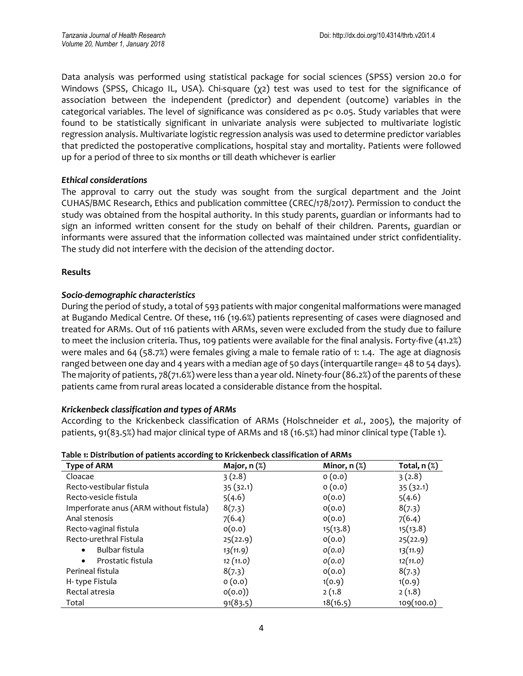Data analysis was performed using statistical package for social sciences (SPSS) version 20.0 for Windows (SPSS, Chicago IL, USA). Chi-square (χ2) test was used to test for the significance of association between the independent (predictor) and dependent (outcome) variables in the categorical variables. The level of significance was considered as p< 0.05. Study variables that were found to be statistically significant in univariate analysis were subjected to multivariate logistic regression analysis. Multivariate logistic regression analysis was used to determine predictor variables that predicted the postoperative complications, hospital stay and mortality. Patients were followed up for a period of three to six months or till death whichever is earlier

## *Ethical considerations*

The approval to carry out the study was sought from the surgical department and the Joint CUHAS/BMC Research, Ethics and publication committee (CREC/178/2017). Permission to conduct the study was obtained from the hospital authority. In this study parents, guardian or informants had to sign an informed written consent for the study on behalf of their children. Parents, guardian or informants were assured that the information collected was maintained under strict confidentiality. The study did not interfere with the decision of the attending doctor.

## **Results**

# *Socio-demographic characteristics*

During the period of study, a total of 593 patients with major congenital malformations were managed at Bugando Medical Centre. Of these, 116 (19.6%) patients representing of cases were diagnosed and treated for ARMs. Out of 116 patients with ARMs, seven were excluded from the study due to failure to meet the inclusion criteria. Thus, 109 patients were available for the final analysis. Forty-five (41.2%) were males and 64 (58.7%) were females giving a male to female ratio of 1: 1.4. The age at diagnosis ranged between one day and 4 years with a median age of 50 days (interquartile range= 48 to 54 days). The majority of patients, 78(71.6%) were less than a year old. Ninety-four (86.2%) of the parents of these patients came from rural areas located a considerable distance from the hospital.

### *Krickenbeck classification and types of ARMs*

According to the Krickenbeck classification of ARMs (Holschneider *et al.*, 2005), the majority of patients, 91(83.5%) had major clinical type of ARMs and 18 (16.5%) had minor clinical type (Table 1).

| Table is Distribution of patients according to Mickelbeck classification of ANNIS |                   |                   |                   |  |
|-----------------------------------------------------------------------------------|-------------------|-------------------|-------------------|--|
| <b>Type of ARM</b>                                                                | Major, $n$ $(\%)$ | Minor, $n$ $(\%)$ | Total, $n$ $(\%)$ |  |
| Cloacae                                                                           | 3(2.8)            | 0(0.0)            | 3(2.8)            |  |
| Recto-vestibular fistula                                                          | 35 (32.1)         | 0(0.0)            | 35(32.1)          |  |
| Recto-vesicle fistula                                                             | 5(4.6)            | O(0.0)            | 5(4.6)            |  |
| Imperforate anus (ARM without fistula)                                            | 8(7.3)            | O(0.0)            | 8(7.3)            |  |
| Anal stenosis                                                                     | 7(6.4)            | O(0.0)            | 7(6.4)            |  |
| Recto-vaginal fistula                                                             | O(0.0)            | 15(13.8)          | 15(13.8)          |  |
| Recto-urethral Fistula                                                            | 25(22.9)          | O(0.0)            | 25(22.9)          |  |
| Bulbar fistula<br>$\bullet$                                                       | 13(11.9)          | o(o.o)            | 13(11.9)          |  |
| Prostatic fistula<br>$\bullet$                                                    | 12(11.0)          | O(0.0)            | 12(11.0)          |  |
| Perineal fistula                                                                  | 8(7.3)            | O(0.0)            | 8(7.3)            |  |
| H-type Fistula                                                                    | 0(0.0)            | 1(0.9)            | 1(0.9)            |  |
| Rectal atresia                                                                    | o(0.0)            | 2(1.8)            | 2(1.8)            |  |
| Total                                                                             | 91(83.5)          | 18(16.5)          | 109(100.0)        |  |

| Table 1: Distribution of patients according to Krickenbeck classification of ARMs |  |  |  |
|-----------------------------------------------------------------------------------|--|--|--|
|                                                                                   |  |  |  |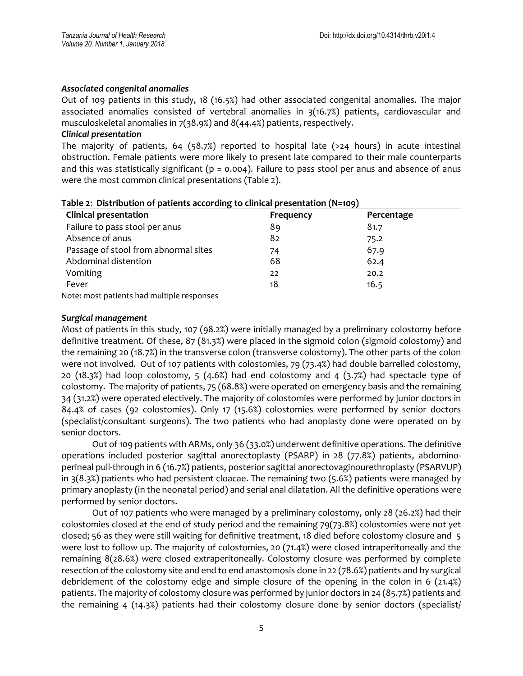#### *Associated congenital anomalies*

Out of 109 patients in this study, 18 (16.5%) had other associated congenital anomalies. The major associated anomalies consisted of vertebral anomalies in  $3(16.7%)$  patients, cardiovascular and musculoskeletal anomalies in 7(38.9%) and 8(44.4%) patients, respectively.

#### *Clinical presentation*

The majority of patients, 64 (58.7%) reported to hospital late ( $>24$  hours) in acute intestinal obstruction. Female patients were more likely to present late compared to their male counterparts and this was statistically significant ( $p = 0.004$ ). Failure to pass stool per anus and absence of anus were the most common clinical presentations (Table 2).

| ້<br><b>Clinical presentation</b>    | . .<br>Frequency | Percentage |
|--------------------------------------|------------------|------------|
| Failure to pass stool per anus       | 89               | 81.7       |
| Absence of anus                      | 82               | 75.2       |
| Passage of stool from abnormal sites | 74               | 67.9       |
| Abdominal distention                 | 68               | 62.4       |
| Vomiting                             | 22               | 20.2       |
| Fever                                | 18               | 16.5       |

|  |  | Table 2: Distribution of patients according to clinical presentation (N=109) |  |
|--|--|------------------------------------------------------------------------------|--|
|--|--|------------------------------------------------------------------------------|--|

Note: most patients had multiple responses

#### *Surgical management*

Most of patients in this study, 107 (98.2%) were initially managed by a preliminary colostomy before definitive treatment. Of these, 87 (81.3%) were placed in the sigmoid colon (sigmoid colostomy) and the remaining 20 (18.7%) in the transverse colon (transverse colostomy). The other parts of the colon were not involved. Out of 107 patients with colostomies, 79 (73.4%) had double barrelled colostomy, 20 (18.3%) had loop colostomy, 5 (4.6%) had end colostomy and 4 (3.7%) had spectacle type of colostomy. The majority of patients, 75 (68.8%) were operated on emergency basis and the remaining 34 (31.2%) were operated electively. The majority of colostomies were performed by junior doctors in 84.4% of cases (92 colostomies). Only 17 (15.6%) colostomies were performed by senior doctors (specialist/consultant surgeons). The two patients who had anoplasty done were operated on by senior doctors.

Out of 109 patients with ARMs, only 36 (33.0%) underwent definitive operations. The definitive operations included posterior sagittal anorectoplasty (PSARP) in 28 (77.8%) patients, abdominoperineal pull-through in 6 (16.7%) patients, posterior sagittal anorectovaginourethroplasty (PSARVUP) in 3(8.3%) patients who had persistent cloacae. The remaining two (5.6%) patients were managed by primary anoplasty (in the neonatal period) and serial anal dilatation. All the definitive operations were performed by senior doctors.

Out of 107 patients who were managed by a preliminary colostomy, only 28 (26.2%) had their colostomies closed at the end of study period and the remaining 79(73.8%) colostomies were not yet closed; 56 as they were still waiting for definitive treatment, 18 died before colostomy closure and 5 were lost to follow up. The majority of colostomies, 20 (71.4%) were closed intraperitoneally and the remaining 8(28.6%) were closed extraperitoneally. Colostomy closure was performed by complete resection of the colostomy site and end to end anastomosis done in 22 (78.6%) patients and by surgical debridement of the colostomy edge and simple closure of the opening in the colon in 6 (21.4%) patients. The majority of colostomy closure was performed by junior doctors in 24 (85.7%) patients and the remaining 4 (14.3%) patients had their colostomy closure done by senior doctors (specialist/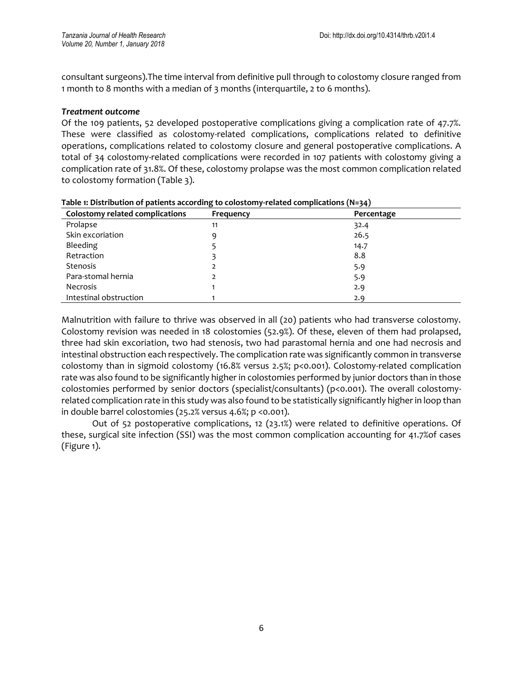consultant surgeons).The time interval from definitive pull through to colostomy closure ranged from 1 month to 8 months with a median of 3 months (interquartile, 2 to 6 months).

### *Treatment outcome*

Of the 109 patients, 52 developed postoperative complications giving a complication rate of 47.7%. These were classified as colostomy-related complications, complications related to definitive operations, complications related to colostomy closure and general postoperative complications. A total of 34 colostomy-related complications were recorded in 107 patients with colostomy giving a complication rate of 31.8%. Of these, colostomy prolapse was the most common complication related to colostomy formation (Table 3).

| <b>Colostomy related complications</b> | Frequency | Percentage |  |
|----------------------------------------|-----------|------------|--|
| Prolapse                               | 11        | 32.4       |  |
| Skin excoriation                       | 9         | 26.5       |  |
| Bleeding                               |           | 14.7       |  |
| Retraction                             |           | 8.8        |  |
| <b>Stenosis</b>                        |           | 5.9        |  |
| Para-stomal hernia                     |           | 5.9        |  |
| <b>Necrosis</b>                        |           | 2.9        |  |
| Intestinal obstruction                 |           | 2.9        |  |

**Table 1: Distribution of patients according to colostomy-related complications (N=34)**

Malnutrition with failure to thrive was observed in all (20) patients who had transverse colostomy. Colostomy revision was needed in 18 colostomies (52.9%). Of these, eleven of them had prolapsed, three had skin excoriation, two had stenosis, two had parastomal hernia and one had necrosis and intestinal obstruction each respectively. The complication rate was significantly common in transverse colostomy than in sigmoid colostomy (16.8% versus 2.5%; p<0.001). Colostomy-related complication rate was also found to be significantly higher in colostomies performed by junior doctors than in those colostomies performed by senior doctors (specialist/consultants) (p<0.001). The overall colostomyrelated complication rate in this study was also found to be statistically significantly higher in loop than in double barrel colostomies (25.2% versus 4.6%; p <0.001).

Out of 52 postoperative complications, 12 (23.1%) were related to definitive operations. Of these, surgical site infection (SSI) was the most common complication accounting for 41.7%of cases (Figure 1).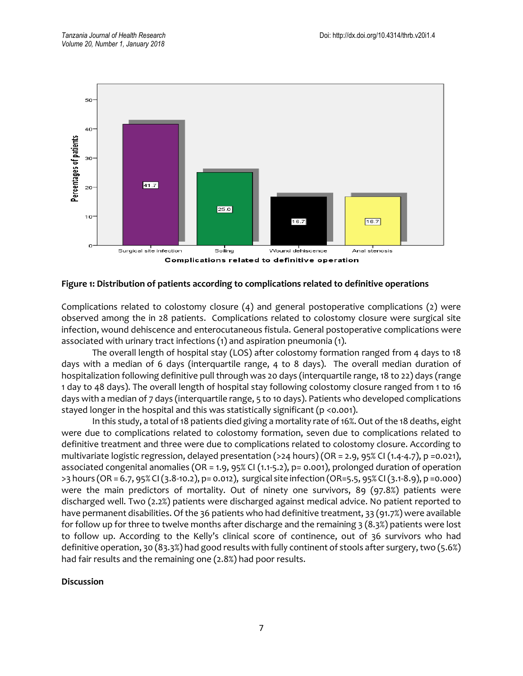

### **Figure 1: Distribution of patients according to complications related to definitive operations**

Complications related to colostomy closure (4) and general postoperative complications (2) were observed among the in 28 patients. Complications related to colostomy closure were surgical site infection, wound dehiscence and enterocutaneous fistula. General postoperative complications were associated with urinary tract infections (1) and aspiration pneumonia (1).

The overall length of hospital stay (LOS) after colostomy formation ranged from 4 days to 18 days with a median of 6 days (interquartile range, 4 to 8 days). The overall median duration of hospitalization following definitive pull through was 20 days (interquartile range, 18 to 22) days (range 1 day to 48 days). The overall length of hospital stay following colostomy closure ranged from 1 to 16 days with a median of 7 days (interquartile range, 5 to 10 days). Patients who developed complications stayed longer in the hospital and this was statistically significant (p <0.001).

In this study, a total of 18 patients died giving a mortality rate of 16%. Out of the 18 deaths, eight were due to complications related to colostomy formation, seven due to complications related to definitive treatment and three were due to complications related to colostomy closure. According to multivariate logistic regression, delayed presentation (>24 hours) (OR = 2.9, 95% CI (1.4-4.7), p =0.021), associated congenital anomalies (OR = 1.9, 95% CI (1.1-5.2), p= 0.001), prolonged duration of operation >3 hours (OR = 6.7, 95% CI (3.8-10.2), p= 0.012), surgical site infection (OR=5.5, 95% CI (3.1-8.9), p =0.000) were the main predictors of mortality. Out of ninety one survivors, 89 (97.8%) patients were discharged well. Two (2.2%) patients were discharged against medical advice. No patient reported to have permanent disabilities. Of the 36 patients who had definitive treatment, 33 (91.7%) were available for follow up for three to twelve months after discharge and the remaining 3 (8.3%) patients were lost to follow up. According to the Kelly's clinical score of continence, out of 36 survivors who had definitive operation, 30 (83.3%) had good results with fully continent of stools after surgery, two (5.6%) had fair results and the remaining one (2.8%) had poor results.

#### **Discussion**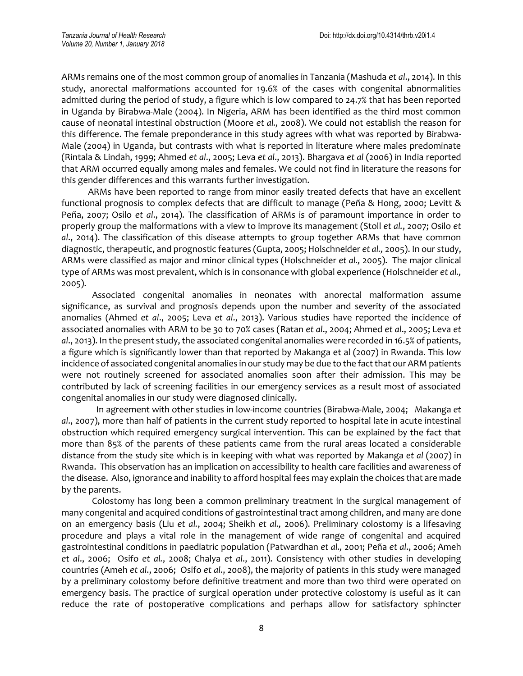ARMs remains one of the most common group of anomalies in Tanzania (Mashuda *et al*., 2014). In this study, anorectal malformations accounted for 19.6% of the cases with congenital abnormalities admitted during the period of study, a figure which is low compared to 24.7% that has been reported in Uganda by Birabwa-Male (2004). In Nigeria, ARM has been identified as the third most common cause of neonatal intestinal obstruction (Moore *et al.,* 2008). We could not establish the reason for this difference. The female preponderance in this study agrees with what was reported by Birabwa-Male (2004) in Uganda, but contrasts with what is reported in literature where males predominate (Rintala & Lindah, 1999; Ahmed *et al*., 2005; Leva *et al*., 2013). Bhargava *et al* (2006) in India reported that ARM occurred equally among males and females. We could not find in literature the reasons for this gender differences and this warrants further investigation.

 ARMs have been reported to range from minor easily treated defects that have an excellent functional prognosis to complex defects that are difficult to manage (Peña & Hong, 2000; Levitt & Peña, 2007; Osilo *et al*., 2014). The classification of ARMs is of paramount importance in order to properly group the malformations with a view to improve its management (Stoll *et al.*, 2007; Osilo *et al*., 2014). The classification of this disease attempts to group together ARMs that have common diagnostic, therapeutic, and prognostic features (Gupta, 2005; Holschneider *et al.,* 2005). In our study, ARMs were classified as major and minor clinical types (Holschneider *et al.,* 2005). The major clinical type of ARMs was most prevalent, which is in consonance with global experience (Holschneider *et al.,* 2005).

 Associated congenital anomalies in neonates with anorectal malformation assume significance, as survival and prognosis depends upon the number and severity of the associated anomalies (Ahmed *et al*., 2005; Leva *et al*., 2013). Various studies have reported the incidence of associated anomalies with ARM to be 30 to 70% cases (Ratan *et al*., 2004; Ahmed *et al*., 2005; Leva *et al*., 2013). In the present study, the associated congenital anomalies were recorded in 16.5% of patients, a figure which is significantly lower than that reported by Makanga et al (2007) in Rwanda. This low incidence of associated congenital anomalies in our study may be due to the fact that our ARM patients were not routinely screened for associated anomalies soon after their admission. This may be contributed by lack of screening facilities in our emergency services as a result most of associated congenital anomalies in our study were diagnosed clinically.

 In agreement with other studies in low-income countries (Birabwa-Male, 2004; Makanga *et al*., 2007), more than half of patients in the current study reported to hospital late in acute intestinal obstruction which required emergency surgical intervention. This can be explained by the fact that more than 85% of the parents of these patients came from the rural areas located a considerable distance from the study site which is in keeping with what was reported by Makanga *et al* (2007) in Rwanda. This observation has an implication on accessibility to health care facilities and awareness of the disease. Also, ignorance and inability to afford hospital fees may explain the choices that are made by the parents.

 Colostomy has long been a common preliminary treatment in the surgical management of many congenital and acquired conditions of gastrointestinal tract among children, and many are done on an emergency basis (Liu *et al.*, 2004; Sheikh *et al.,* 2006). Preliminary colostomy is a lifesaving procedure and plays a vital role in the management of wide range of congenital and acquired gastrointestinal conditions in paediatric population (Patwardhan *et al.,* 2001; Peña *et al*., 2006; Ameh *et al*., 2006; Osifo *et al.*, 2008; Chalya *et al*., 2011). Consistency with other studies in developing countries (Ameh *et al*., 2006; Osifo *et al*., 2008), the majority of patients in this study were managed by a preliminary colostomy before definitive treatment and more than two third were operated on emergency basis. The practice of surgical operation under protective colostomy is useful as it can reduce the rate of postoperative complications and perhaps allow for satisfactory sphincter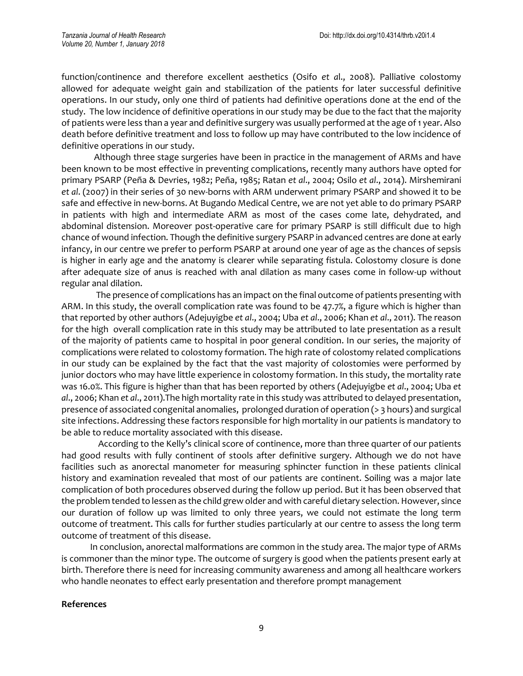function/continence and therefore excellent aesthetics (Osifo *et a*l., 2008). Palliative colostomy allowed for adequate weight gain and stabilization of the patients for later successful definitive operations. In our study, only one third of patients had definitive operations done at the end of the study. The low incidence of definitive operations in our study may be due to the fact that the majority of patients were less than a year and definitive surgery was usually performed at the age of 1 year. Also death before definitive treatment and loss to follow up may have contributed to the low incidence of definitive operations in our study.

 Although three stage surgeries have been in practice in the management of ARMs and have been known to be most effective in preventing complications, recently many authors have opted for primary PSARP (Peña & Devries, 1982; Peña, 1985; Ratan *et al*., 2004; Osilo *et al*., 2014). Mirshemirani *et al*. (2007) in their series of 30 new-borns with ARM underwent primary PSARP and showed it to be safe and effective in new-borns. At Bugando Medical Centre, we are not yet able to do primary PSARP in patients with high and intermediate ARM as most of the cases come late, dehydrated, and abdominal distension. Moreover post-operative care for primary PSARP is still difficult due to high chance of wound infection. Though the definitive surgery PSARP in advanced centres are done at early infancy, in our centre we prefer to perform PSARP at around one year of age as the chances of sepsis is higher in early age and the anatomy is clearer while separating fistula. Colostomy closure is done after adequate size of anus is reached with anal dilation as many cases come in follow-up without regular anal dilation.

 The presence of complications has an impact on the final outcome of patients presenting with ARM. In this study, the overall complication rate was found to be 47.7%, a figure which is higher than that reported by other authors (Adejuyigbe *et al*., 2004; Uba *et al*., 2006; Khan *et al*., 2011). The reason for the high overall complication rate in this study may be attributed to late presentation as a result of the majority of patients came to hospital in poor general condition. In our series, the majority of complications were related to colostomy formation. The high rate of colostomy related complications in our study can be explained by the fact that the vast majority of colostomies were performed by junior doctors who may have little experience in colostomy formation. In this study, the mortality rate was 16.0%. This figure is higher than that has been reported by others (Adejuyigbe *et al*., 2004; Uba *et al*., 2006; Khan *et al*., 2011).The high mortality rate in this study was attributed to delayed presentation, presence of associated congenital anomalies, prolonged duration of operation (> 3 hours) and surgical site infections. Addressing these factors responsible for high mortality in our patients is mandatory to be able to reduce mortality associated with this disease.

 According to the Kelly's clinical score of continence, more than three quarter of our patients had good results with fully continent of stools after definitive surgery. Although we do not have facilities such as anorectal manometer for measuring sphincter function in these patients clinical history and examination revealed that most of our patients are continent. Soiling was a major late complication of both procedures observed during the follow up period. But it has been observed that the problem tended to lessen as the child grew older and with careful dietary selection. However, since our duration of follow up was limited to only three years, we could not estimate the long term outcome of treatment. This calls for further studies particularly at our centre to assess the long term outcome of treatment of this disease.

 In conclusion, anorectal malformations are common in the study area. The major type of ARMs is commoner than the minor type. The outcome of surgery is good when the patients present early at birth. Therefore there is need for increasing community awareness and among all healthcare workers who handle neonates to effect early presentation and therefore prompt management

### **References**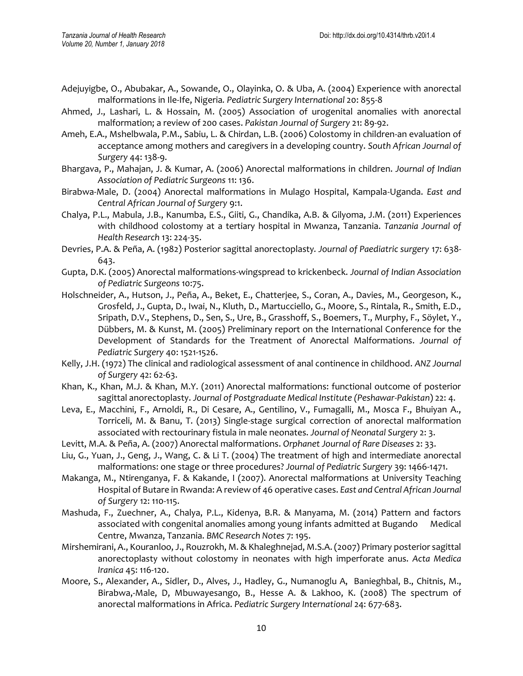- Adejuyigbe, O., Abubakar, A., Sowande, O., Olayinka, O. & Uba, A. (2004) Experience with anorectal malformations in Ile-Ife, Nigeria*. Pediatric Surgery International* 20: 855-8
- Ahmed, J., Lashari, L. & Hossain, M. (2005) Association of urogenital anomalies with anorectal malformation; a review of 200 cases. *Pakistan Journal of Surgery* 21: 89‐92.
- Ameh, E.A., Mshelbwala, P.M., Sabiu, L. & Chirdan, L.B. (2006) Colostomy in children-an evaluation of acceptance among mothers and caregivers in a developing country. *South African Journal of Surgery* 44: 138-9.
- Bhargava, P., Mahajan, J. & Kumar, A. (2006) Anorectal malformations in children. *Journal of Indian Association of Pediatric Surgeons* 11: 136.
- Birabwa-Male, D. (2004) Anorectal malformations in Mulago Hospital, Kampala-Uganda. *East and Central African Journal of Surgery* 9:1.
- Chalya, P.L., Mabula, J.B., Kanumba, E.S., Giiti, G., Chandika, A.B. & Gilyoma, J.M. (2011) Experiences with childhood colostomy at a tertiary hospital in Mwanza, Tanzania. *Tanzania Journal of Health Research* 13: 224-35.
- Devries, P.A. & Peña, A. (1982) Posterior sagittal anorectoplasty*. Journal of Paediatric surgery* 17: 638- 643.
- Gupta, D.K. (2005) Anorectal malformations-wingspread to krickenbeck. *Journal of Indian Association of Pediatric Surgeons* 10:75.
- Holschneider, A., Hutson, J., Peña, A., Beket, E., Chatterjee, S., Coran, A., Davies, M., Georgeson, K., Grosfeld, J., Gupta, D., Iwai, N., Kluth, D., Martucciello, G., Moore, S., Rintala, R., Smith, E.D., Sripath, D.V., Stephens, D., Sen, S., Ure, B., Grasshoff, S., Boemers, T., Murphy, F., [Söylet,](https://www.ncbi.nlm.nih.gov/pubmed/?term=S%C3%B6ylet%20Y%5BAuthor%5D&cauthor=true&cauthor_uid=16226976) Y., [Dübbers,](https://www.ncbi.nlm.nih.gov/pubmed/?term=D%C3%BCbbers%20M%5BAuthor%5D&cauthor=true&cauthor_uid=16226976) M. & [Kunst,](https://www.ncbi.nlm.nih.gov/pubmed/?term=Kunst%20M%5BAuthor%5D&cauthor=true&cauthor_uid=16226976) M. (2005) Preliminary report on the International Conference for the Development of Standards for the Treatment of Anorectal Malformations. *Journal of Pediatric Surgery* 40: 1521-1526.
- Kelly, J.H. (1972) The clinical and radiological assessment of anal continence in childhood. *ANZ Journal of Surgery* 42: 62-63.
- Khan, K., Khan, M.J. & Khan, M.Y. (2011) Anorectal malformations: functional outcome of posterior sagittal anorectoplasty. *Journal of Postgraduate Medical Institute (Peshawar-Pakistan*) 22: 4.
- Leva, E., Macchini, F., Arnoldi, R., Di Cesare, A., Gentilino, V., Fumagalli, M., Mosca F., Bhuiyan A., Torriceli, M. & Banu, T. (2013) Single-stage surgical correction of anorectal malformation associated with rectourinary fistula in male neonates. *Journal of Neonatal Surgery* 2: 3.
- Levitt, M.A. & Peña, A. (2007) Anorectal malformations. *Orphanet Journal of Rare Diseases* 2: 33.
- Liu, G., Yuan, J., Geng, J., Wang, C. & Li T. (2004) The treatment of high and intermediate anorectal malformations: one stage or three procedures? *Journal of Pediatric Surgery* 39: 1466-1471.
- Makanga, M., Ntirenganya, F. & Kakande, I (2007). Anorectal malformations at University Teaching Hospital of Butare in Rwanda: A review of 46 operative cases. *East and Central African Journal of Surgery* 12: 110-115.
- Mashuda, F., Zuechner, A., Chalya, P.L., Kidenya, B.R. & Manyama, M. (2014) Pattern and factors associated with congenital anomalies among young infants admitted at Bugando Medical Centre, Mwanza, Tanzania. *BMC Research Notes* 7: 195.
- Mirshemirani, A., Kouranloo, J., Rouzrokh, M. & Khaleghnejad, M.S.A. (2007) Primary posterior sagittal anorectoplasty without colostomy in neonates with high imperforate anus. *Acta Medica Iranica* 45: 116-120.
- Moore, S., Alexander, A., Sidler, D., Alves, J., Hadley, G., Numanoglu A, [Banieghbal, B.](https://www.ncbi.nlm.nih.gov/pubmed/?term=Banieghbal%20B%5BAuthor%5D&cauthor=true&cauthor_uid=18386020), [Chitnis, M.](https://www.ncbi.nlm.nih.gov/pubmed/?term=Chitnis%20M%5BAuthor%5D&cauthor=true&cauthor_uid=18386020), [Birabwa,-Male, D,](https://www.ncbi.nlm.nih.gov/pubmed/?term=Birabwa-Male%20D%5BAuthor%5D&cauthor=true&cauthor_uid=18386020) [Mbuwayesango, B.](https://www.ncbi.nlm.nih.gov/pubmed/?term=Mbuwayesango%20B%5BAuthor%5D&cauthor=true&cauthor_uid=18386020), [Hesse A.](https://www.ncbi.nlm.nih.gov/pubmed/?term=Hesse%20A%5BAuthor%5D&cauthor=true&cauthor_uid=18386020) & [Lakhoo, K.](https://www.ncbi.nlm.nih.gov/pubmed/?term=Lakhoo%20K%5BAuthor%5D&cauthor=true&cauthor_uid=18386020) (2008) The spectrum of anorectal malformations in Africa. *Pediatric Surgery International* 24: 677-683.